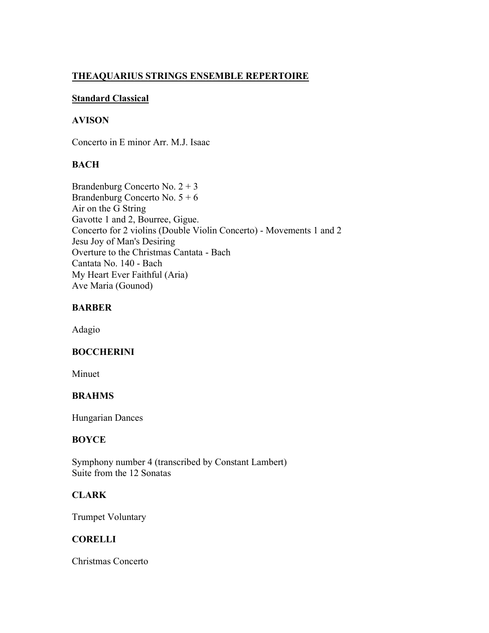# **THEAQUARIUS STRINGS ENSEMBLE REPERTOIRE**

## **Standard Classical**

## **AVISON**

Concerto in E minor Arr. M.J. Isaac

## **BACH**

Brandenburg Concerto No. 2 + 3 Brandenburg Concerto No. 5 + 6 Air on the G String Gavotte 1 and 2, Bourree, Gigue. Concerto for 2 violins (Double Violin Concerto) - Movements 1 and 2 Jesu Joy of Man's Desiring Overture to the Christmas Cantata - Bach Cantata No. 140 - Bach My Heart Ever Faithful (Aria) Ave Maria (Gounod)

## **BARBER**

Adagio

## **BOCCHERINI**

Minuet

## **BRAHMS**

Hungarian Dances

## **BOYCE**

Symphony number 4 (transcribed by Constant Lambert) Suite from the 12 Sonatas

# **CLARK**

Trumpet Voluntary

## **CORELLI**

Christmas Concerto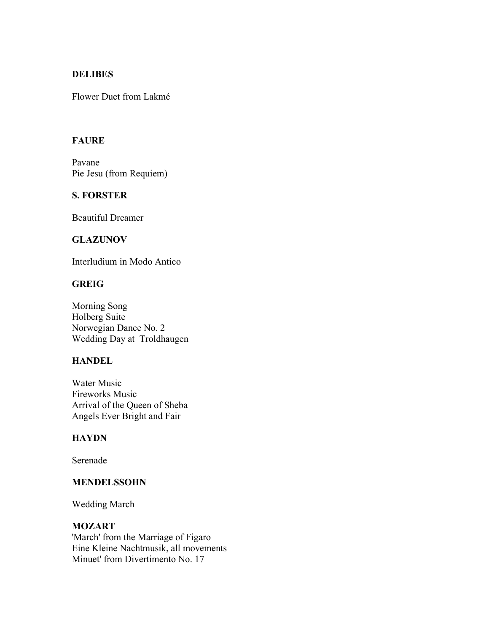### **DELIBES**

Flower Duet from Lakmé

## **FAURE**

Pavane Pie Jesu (from Requiem)

## **S. FORSTER**

Beautiful Dreamer

## **GLAZUNOV**

Interludium in Modo Antico

## **GREIG**

Morning Song Holberg Suite Norwegian Dance No. 2 Wedding Day at Troldhaugen

#### **HANDEL**

Water Music Fireworks Music Arrival of the Queen of Sheba Angels Ever Bright and Fair

#### **HAYDN**

Serenade

#### **MENDELSSOHN**

Wedding March

### **MOZART**

'March' from the Marriage of Figaro Eine Kleine Nachtmusik, all movements Minuet' from Divertimento No. 17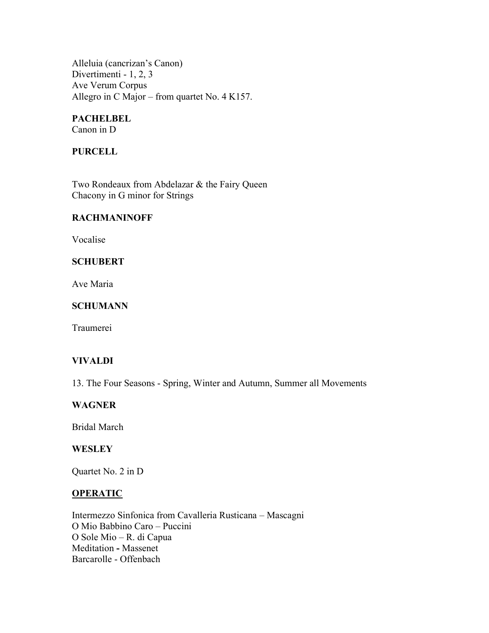Alleluia (cancrizan's Canon) Divertimenti - 1, 2, 3 Ave Verum Corpus Allegro in C Major – from quartet No. 4 K157.

#### **PACHELBEL** Canon in D

**PURCELL**

Two Rondeaux from Abdelazar & the Fairy Queen Chacony in G minor for Strings

#### **RACHMANINOFF**

Vocalise

## **SCHUBERT**

Ave Maria

## **SCHUMANN**

Traumerei

## **VIVALDI**

13. The Four Seasons - Spring, Winter and Autumn, Summer all Movements

### **WAGNER**

Bridal March

## **WESLEY**

Quartet No. 2 in D

#### **OPERATIC**

Intermezzo Sinfonica from Cavalleria Rusticana – Mascagni O Mio Babbino Caro – Puccini O Sole Mio – R. di Capua Meditation **-** Massenet Barcarolle - Offenbach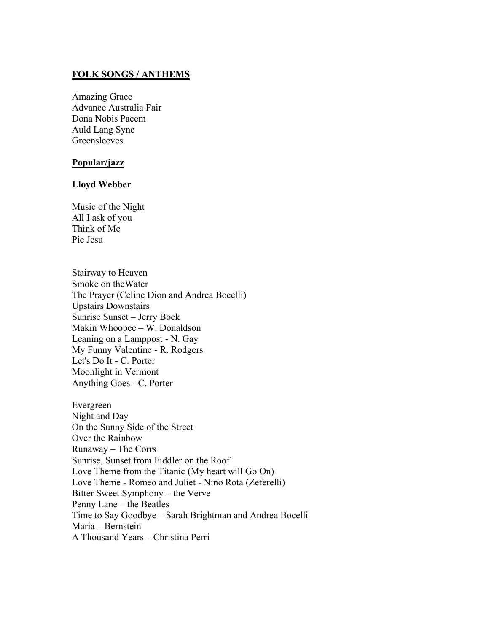## **FOLK SONGS / ANTHEMS**

Amazing Grace Advance Australia Fair Dona Nobis Pacem Auld Lang Syne Greensleeves

#### **Popular/jazz**

#### **Lloyd Webber**

Music of the Night All I ask of you Think of Me Pie Jesu

Stairway to Heaven Smoke on theWater The Prayer (Celine Dion and Andrea Bocelli) Upstairs Downstairs Sunrise Sunset – Jerry Bock Makin Whoopee – W. Donaldson Leaning on a Lamppost - N. Gay My Funny Valentine - R. Rodgers Let's Do It - C. Porter Moonlight in Vermont Anything Goes - C. Porter

Evergreen Night and Day On the Sunny Side of the Street Over the Rainbow Runaway – The Corrs Sunrise, Sunset from Fiddler on the Roof Love Theme from the Titanic (My heart will Go On) Love Theme - Romeo and Juliet - Nino Rota (Zeferelli) Bitter Sweet Symphony – the Verve Penny Lane – the Beatles Time to Say Goodbye – Sarah Brightman and Andrea Bocelli Maria – Bernstein A Thousand Years – Christina Perri